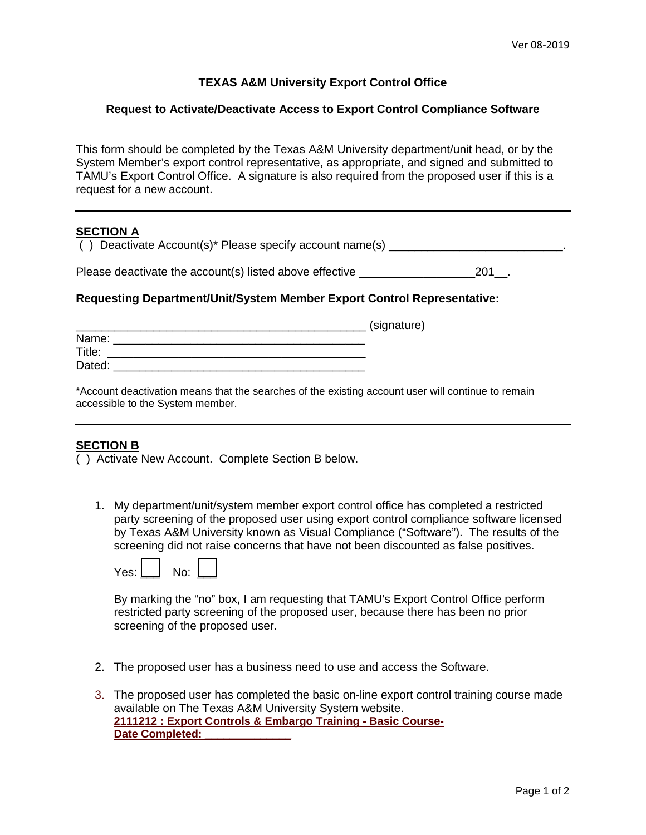## **TEXAS A&M University Export Control Office**

#### **Request to Activate/Deactivate Access to Export Control Compliance Software**

This form should be completed by the Texas A&M University department/unit head, or by the System Member's export control representative, as appropriate, and signed and submitted to TAMU's Export Control Office. A signature is also required from the proposed user if this is a request for a new account.

# **SECTION A**

() Deactivate Account(s)\* Please specify account name(s)  $\qquad \qquad$ 

Please deactivate the account(s) listed above effective **Example 201** and 201 and 201

### **Requesting Department/Unit/System Member Export Control Representative:**

|        | (signature) |
|--------|-------------|
| Name:  |             |
| Title: |             |
| Dated: |             |

\*Account deactivation means that the searches of the existing account user will continue to remain accessible to the System member.

## **SECTION B**

( ) Activate New Account. Complete Section B below.

1. My department/unit/system member export control office has completed a restricted party screening of the proposed user using export control compliance software licensed by Texas A&M University known as Visual Compliance ("Software"). The results of the screening did not raise concerns that have not been discounted as false positives.



By marking the "no" box, I am requesting that TAMU's Export Control Office perform restricted party screening of the proposed user, because there has been no prior screening of the proposed user.

- 2. The proposed user has a business need to use and access the Software.
- 3. The proposed user has completed the basic on-line export control training course made available on The Texas A&M University System website. **[2111212 : Export Controls & Embargo Training - Basic Course-](javascript:WebForm_DoPostBackWithOptions(new%20WebForm_PostBackOptions(%22ctl00$cphMain$CourseSearch$gvCourseSearch$ctl04$lnkCourseTitle%22,%20%22%22,%20true,%20%22%22,%20%22%22,%20false,%20true)))**Date Completed: